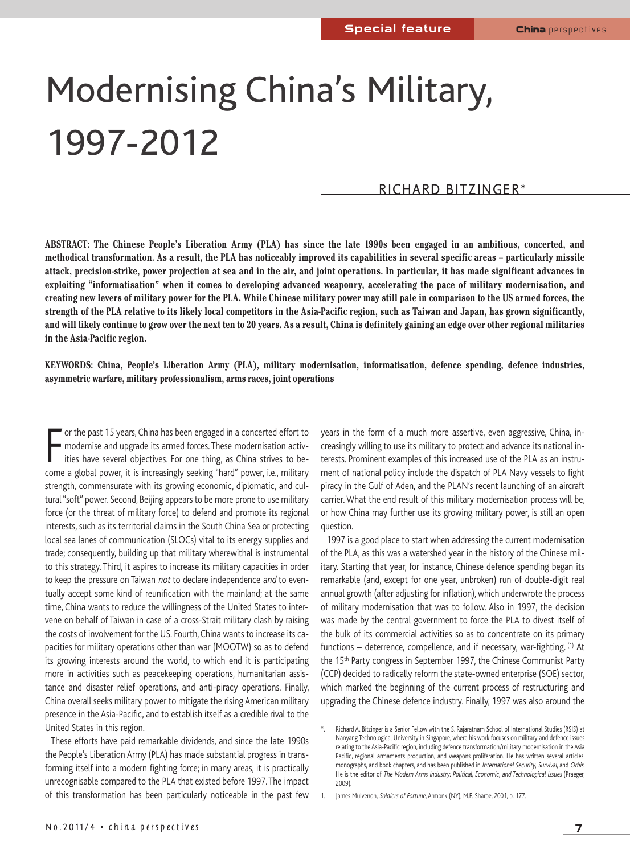# Modernising China's Military, 1997-2012

# RICHARD BITZINGER\*

ABSTRACT: The Chinese People's Liberation Army (PLA) has since the late 1990s been engaged in an ambitious, concerted, and methodical transformation. As a result, the PLA has noticeably improved its capabilities in several specific areas - particularly missile attack, precision-strike, power projection at sea and in the air, and joint operations. In particular, it has made significant advances in exploiting "informatisation" when it comes to developing advanced weaponry, accelerating the pace of military modernisation, and creating new levers of military power for the PLA. While Chinese military power may still pale in comparison to the US armed forces, the strength of the PLA relative to its likely local competitors in the Asia-Pacific region, such as Taiwan and Japan, has grown significantly, and will likely continue to grow over the next ten to 20 years. As a result, China is definitely gaining an edge over other regional militaries **in the Asia-Pacific region.**

**KEYWORDS: China, People's Liberation Army (PLA), military modernisation, informatisation, defence spending, defence industries, asymmetric warfare, military professionalism, arms races, joint operations**

For the past 15 years, China has been engaged in a concerted effort to modernise and upgrade its armed forces. These modernisation activities have several objectives. For one thing, as China strives to become a global powe or the past 15 years, China has been engaged in a concerted effort to modernise and upgrade its armed forces. These modernisation activities have several objectives. For one thing, as China strives to bestrength, commensurate with its growing economic, diplomatic, and cultural"soft" power. Second, Beijing appears to be more prone to use military force (or the threat of military force) to defend and promote its regional interests, such as its territorial claims in the South China Sea or protecting local sea lanes of communication (SLOCs) vital to its energy supplies and trade; consequently, building up that military wherewithal is instrumental to this strategy. Third, it aspires to increase its military capacities in order to keep the pressure on Taiwan not to declare independence and to eventually accept some kind of reunification with the mainland; at the same time, China wants to reduce the willingness of the United States to intervene on behalf of Taiwan in case of a cross-Strait military clash by raising the costs of involvement for the US. Fourth, China wants to increase its capacities for military operations other than war (MOOTW) so as to defend its growing interests around the world, to which end it is participating more in activities such as peacekeeping operations, humanitarian assistance and disaster relief operations, and anti-piracy operations. Finally, China overall seeks military power to mitigate the rising American military presence in the Asia-Pacific, and to establish itself as a credible rival to the United States in this region.

These efforts have paid remarkable dividends, and since the late 1990s the People's Liberation Army (PLA) has made substantial progress in transforming itself into a modern fighting force; in many areas, it is practically unrecognisable compared to the PLA that existed before 1997.The impact of this transformation has been particularly noticeable in the past few

years in the form of a much more assertive, even aggressive, China, increasingly willing to use its military to protect and advance its national interests. Prominent examples of this increased use of the PLA as an instrument of national policy include the dispatch of PLA Navy vessels to fight piracy in the Gulf of Aden, and the PLAN's recent launching of an aircraft carrier. What the end result of this military modernisation process will be, or how China may further use its growing military power, is still an open question.

1997 is a good place to start when addressing the current modernisation of the PLA, as this was a watershed year in the history of the Chinese military. Starting that year, for instance, Chinese defence spending began its remarkable (and, except for one year, unbroken) run of double-digit real annual growth (after adjusting for inflation), which underwrote the process of military modernisation that was to follow. Also in 1997, the decision was made by the central government to force the PLA to divest itself of the bulk of its commercial activities so as to concentrate on its primary functions – deterrence, compellence, and if necessary, war-fighting. (1) At the 15th Party congress in September 1997, the Chinese Communist Party (CCP) decided to radically reform the state-owned enterprise (SOE) sector, which marked the beginning of the current process of restructuring and upgrading the Chinese defence industry. Finally, 1997 was also around the

Richard A. Bitzinger is a Senior Fellow with the S. Rajaratnam School of International Studies (RSIS) at Nanyang Technological University in Singapore, where his work focuses on military and defence issues relating to the Asia-Pacific region, including defence transformation/military modernisation in the Asia Pacific, regional armaments production, and weapons proliferation. He has written several articles, monographs, and book chapters, and has been published in International Security, Survival, and Orbis. He is the editor of The Modern Arms Industry: Political, Economic, and Technological Issues (Praeger, 2009).

<sup>1.</sup> James Mulvenon, Soldiers of Fortune, Armonk (NY), M.E. Sharpe, 2001, p. 177.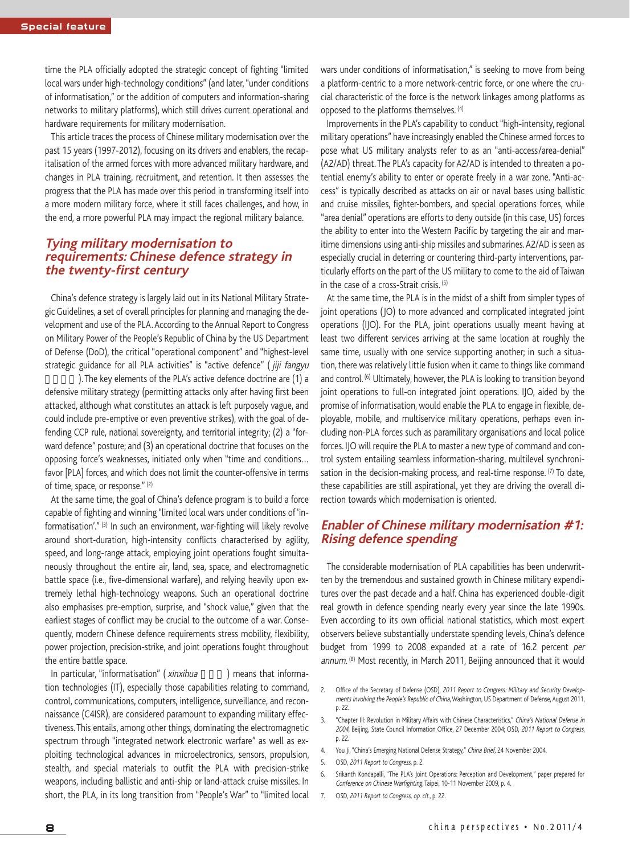time the PLA officially adopted the strategic concept of fighting "limited local wars under high-technology conditions" (and later, "under conditions of informatisation," or the addition of computers and information-sharing networks to military platforms), which still drives current operational and hardware requirements for military modernisation.

This article traces the process of Chinese military modernisation over the past 15 years (1997-2012), focusing on its drivers and enablers, the recapitalisation of the armed forces with more advanced military hardware, and changes in PLA training, recruitment, and retention. It then assesses the progress that the PLA has made over this period in transforming itself into a more modern military force, where it still faces challenges, and how, in the end, a more powerful PLA may impact the regional military balance.

# **Tying military modernisation to requirements: Chinese defence strategy in the twenty-first century**

China's defence strategy is largely laid out in its National Military Strategic Guidelines, a set of overall principles for planning and managing the development and use of the PLA.According to the Annual Report to Congress on Military Power of the People's Republic of China by the US Department of Defense (DoD), the critical "operational component" and "highest-level strategic guidance for all PLA activities" is "active defence" (jiji fangyu

). The key elements of the PLA's active defence doctrine are (1) a defensive military strategy (permitting attacks only after having first been attacked, although what constitutes an attack is left purposely vague, and could include pre-emptive or even preventive strikes), with the goal of defending CCP rule, national sovereignty, and territorial integrity; (2) a "forward defence" posture; and (3) an operational doctrine that focuses on the opposing force's weaknesses, initiated only when "time and conditions… favor [PLA] forces, and which does not limit the counter-offensive in terms of time, space, or response."(2)

At the same time, the goal of China's defence program is to build a force capable of fighting and winning "limited local wars under conditions of 'informatisation'."(3) In such an environment, war-fighting will likely revolve around short-duration, high-intensity conflicts characterised by agility, speed, and long-range attack, employing joint operations fought simultaneously throughout the entire air, land, sea, space, and electromagnetic battle space (i.e., five-dimensional warfare), and relying heavily upon extremely lethal high-technology weapons. Such an operational doctrine also emphasises pre-emption, surprise, and "shock value," given that the earliest stages of conflict may be crucial to the outcome of a war. Consequently, modern Chinese defence requirements stress mobility, flexibility, power projection, precision-strike, and joint operations fought throughout the entire battle space.

In particular, "informatisation" (*xinxihua* ) means that information technologies (IT), especially those capabilities relating to command, control, communications, computers, intelligence, surveillance, and reconnaissance (C4ISR), are considered paramount to expanding military effectiveness.This entails, among other things, dominating the electromagnetic spectrum through "integrated network electronic warfare" as well as exploiting technological advances in microelectronics, sensors, propulsion, stealth, and special materials to outfit the PLA with precision-strike weapons, including ballistic and anti-ship or land-attack cruise missiles. In short, the PLA, in its long transition from "People's War" to "limited local wars under conditions of informatisation," is seeking to move from being a platform-centric to a more network-centric force, or one where the crucial characteristic of the force is the network linkages among platforms as opposed to the platforms themselves. (4)

Improvements in the PLA's capability to conduct"high-intensity, regional military operations" have increasingly enabled the Chinese armed forces to pose what US military analysts refer to as an "anti-access/area-denial" (A2/AD) threat.The PLA's capacity for A2/AD is intended to threaten a potential enemy's ability to enter or operate freely in a war zone. "Anti-access" is typically described as attacks on air or naval bases using ballistic and cruise missiles, fighter-bombers, and special operations forces, while "area denial" operations are efforts to deny outside (in this case, US) forces the ability to enter into the Western Pacific by targeting the air and maritime dimensions using anti-ship missiles and submarines.A2/AD is seen as especially crucial in deterring or countering third-party interventions, particularly efforts on the part of the US military to come to the aid of Taiwan in the case of a cross-Strait crisis. (5)

At the same time, the PLA is in the midst of a shift from simpler types of joint operations (JO) to more advanced and complicated integrated joint operations (IJO). For the PLA, joint operations usually meant having at least two different services arriving at the same location at roughly the same time, usually with one service supporting another; in such a situation, there was relatively little fusion when it came to things like command and control. <sup>(6)</sup> Ultimately, however, the PLA is looking to transition beyond joint operations to full-on integrated joint operations. IJO, aided by the promise of informatisation, would enable the PLA to engage in flexible, deployable, mobile, and multiservice military operations, perhaps even including non-PLA forces such as paramilitary organisations and local police forces. IJO will require the PLA to master a new type of command and control system entailing seamless information-sharing, multilevel synchronisation in the decision-making process, and real-time response.  $(7)$  To date, these capabilities are still aspirational, yet they are driving the overall direction towards which modernisation is oriented.

# **Enabler of Chinese military modernisation #1: Rising defence spending**

The considerable modernisation of PLA capabilities has been underwritten by the tremendous and sustained growth in Chinese military expenditures over the past decade and a half. China has experienced double-digit real growth in defence spending nearly every year since the late 1990s. Even according to its own official national statistics, which most expert observers believe substantially understate spending levels, China's defence budget from 1999 to 2008 expanded at a rate of 16.2 percent per annum. <sup>(8)</sup> Most recently, in March 2011, Beijing announced that it would

- 4. You Ji,"China's Emerging National Defense Strategy," China Brief, 24 November 2004.
- 5. OSD, 2011 Report to Congress, p. 2.
- 6. Srikanth Kondapalli, "The PLA's Joint Operations: Perception and Development," paper prepared for Conference on Chinese Warfighting, Taipei, 10-11 November 2009, p. 4.
- 7. OSD, 2011 Report to Congress, op. cit., p. 22.

<sup>2.</sup> Office of the Secretary of Defense (OSD), 2011 Report to Congress: Military and Security Developments Involving the People's Republic of China, Washington, US Department of Defense, August 2011, p. 22.

<sup>3.</sup> "Chapter III: Revolution in Military Affairs with Chinese Characteristics," China's National Defense in 2004, Beijing, State Council Information Office, 27 December 2004; OSD, 2011 Report to Congress, p. 22.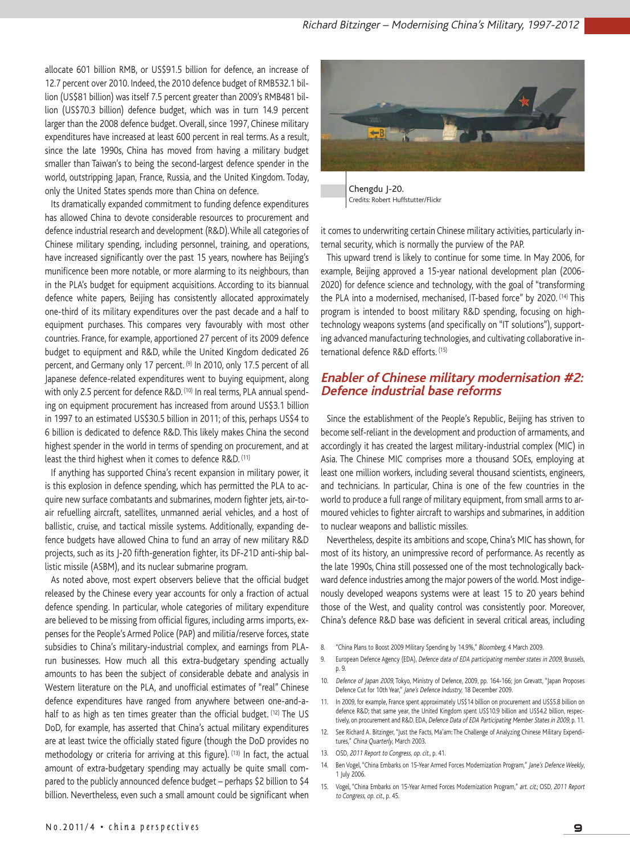allocate 601 billion RMB, or US\$91.5 billion for defence, an increase of 12.7 percent over 2010. Indeed, the 2010 defence budget of RMB532.1 billion (US\$81 billion) was itself 7.5 percent greater than 2009's RMB481 billion (US\$70.3 billion) defence budget, which was in turn 14.9 percent larger than the 2008 defence budget. Overall, since 1997, Chinese military expenditures have increased at least 600 percent in real terms. As a result, since the late 1990s, China has moved from having a military budget smaller than Taiwan's to being the second-largest defence spender in the world, outstripping Japan, France, Russia, and the United Kingdom. Today, only the United States spends more than China on defence.

Its dramatically expanded commitment to funding defence expenditures has allowed China to devote considerable resources to procurement and defence industrial research and development (R&D).While all categories of Chinese military spending, including personnel, training, and operations, have increased significantly over the past 15 years, nowhere has Beijing's munificence been more notable, or more alarming to its neighbours, than in the PLA's budget for equipment acquisitions. According to its biannual defence white papers, Beijing has consistently allocated approximately one-third of its military expenditures over the past decade and a half to equipment purchases. This compares very favourably with most other countries. France, for example, apportioned 27 percent of its 2009 defence budget to equipment and R&D, while the United Kingdom dedicated 26 percent, and Germany only 17 percent. (9) In 2010, only 17.5 percent of all Japanese defence-related expenditures went to buying equipment, along with only 2.5 percent for defence R&D. (10) In real terms, PLA annual spending on equipment procurement has increased from around US\$3.1 billion in 1997 to an estimated US\$30.5 billion in 2011; of this, perhaps US\$4 to 6 billion is dedicated to defence R&D. This likely makes China the second highest spender in the world in terms of spending on procurement, and at least the third highest when it comes to defence R&D. (11)

If anything has supported China's recent expansion in military power, it is this explosion in defence spending, which has permitted the PLA to acquire new surface combatants and submarines, modern fighter jets, air-toair refuelling aircraft, satellites, unmanned aerial vehicles, and a host of ballistic, cruise, and tactical missile systems. Additionally, expanding defence budgets have allowed China to fund an array of new military R&D projects, such as its J-20 fifth-generation fighter, its DF-21D anti-ship ballistic missile (ASBM), and its nuclear submarine program.

As noted above, most expert observers believe that the official budget released by the Chinese every year accounts for only a fraction of actual defence spending. In particular, whole categories of military expenditure are believed to be missing from official figures, including arms imports, expenses for the People's Armed Police (PAP) and militia/reserve forces, state subsidies to China's military-industrial complex, and earnings from PLArun businesses. How much all this extra-budgetary spending actually amounts to has been the subject of considerable debate and analysis in Western literature on the PLA, and unofficial estimates of "real" Chinese defence expenditures have ranged from anywhere between one-and-ahalf to as high as ten times greater than the official budget. (12) The US DoD, for example, has asserted that China's actual military expenditures are at least twice the officially stated figure (though the DoD provides no methodology or criteria for arriving at this figure). (13) In fact, the actual amount of extra-budgetary spending may actually be quite small compared to the publicly announced defence budget – perhaps \$2 billion to \$4 billion. Nevertheless, even such a small amount could be significant when



Chengdu J-20. Credits: Robert Huffstutter/Flickr

it comes to underwriting certain Chinese military activities, particularly internal security, which is normally the purview of the PAP.

This upward trend is likely to continue for some time. In May 2006, for example, Beijing approved a 15-year national development plan (2006- 2020) for defence science and technology, with the goal of "transforming the PLA into a modernised, mechanised, IT-based force" by 2020. <sup>(14)</sup> This program is intended to boost military R&D spending, focusing on hightechnology weapons systems (and specifically on "IT solutions"), supporting advanced manufacturing technologies, and cultivating collaborative international defence R&D efforts. (15)

#### **Enabler of Chinese military modernisation #2: Defence industrial base reforms**

Since the establishment of the People's Republic, Beijing has striven to become self-reliant in the development and production of armaments, and accordingly it has created the largest military-industrial complex (MIC) in Asia. The Chinese MIC comprises more a thousand SOEs, employing at least one million workers, including several thousand scientists, engineers, and technicians. In particular, China is one of the few countries in the world to produce a full range of military equipment, from small arms to armoured vehicles to fighter aircraft to warships and submarines, in addition to nuclear weapons and ballistic missiles.

Nevertheless, despite its ambitions and scope, China's MIC has shown, for most of its history, an unimpressive record of performance. As recently as the late 1990s, China still possessed one of the most technologically backward defence industries among the major powers of the world. Most indigenously developed weapons systems were at least 15 to 20 years behind those of the West, and quality control was consistently poor. Moreover, China's defence R&D base was deficient in several critical areas, including

- 8. "China Plans to Boost 2009 Military Spending by 14.9%," Bloomberg, 4 March 2009.
- 9. European Defence Agency (EDA), Defence data of EDA participating member states in 2009, Brussels, p. 9.
- 10. Defence of Japan 2009, Tokyo, Ministry of Defence, 2009, pp. 164-166; Jon Grevatt, "Japan Proposes Defence Cut for 10th Year," Jane's Defence Industry, 18 December 2009.
- 11. In 2009, for example, France spent approximately US\$14 billion on procurement and US\$5.8 billion on defence R&D; that same year, the United Kingdom spent US\$10.9 billion and US\$4.2 billion, respectively, on procurement and R&D. EDA, Defence Data of EDA Participating Member States in 2009, p. 11.
- 12. See Richard A. Bitzinger,"Just the Facts, Ma'am: The Challenge of Analyzing Chinese Military Expenditures," China Quarterly, March 2003.
- 13. OSD, 2011 Report to Congress, op. cit., p. 41.
- Ben Vogel, "China Embarks on 15-Year Armed Forces Modernization Program," Jane's Defence Weekly, 1 July 2006.
- 15. Vogel, "China Embarks on 15-Year Armed Forces Modernization Program," art. cit.; OSD, 2011 Report to Congress, op. cit., p. 45.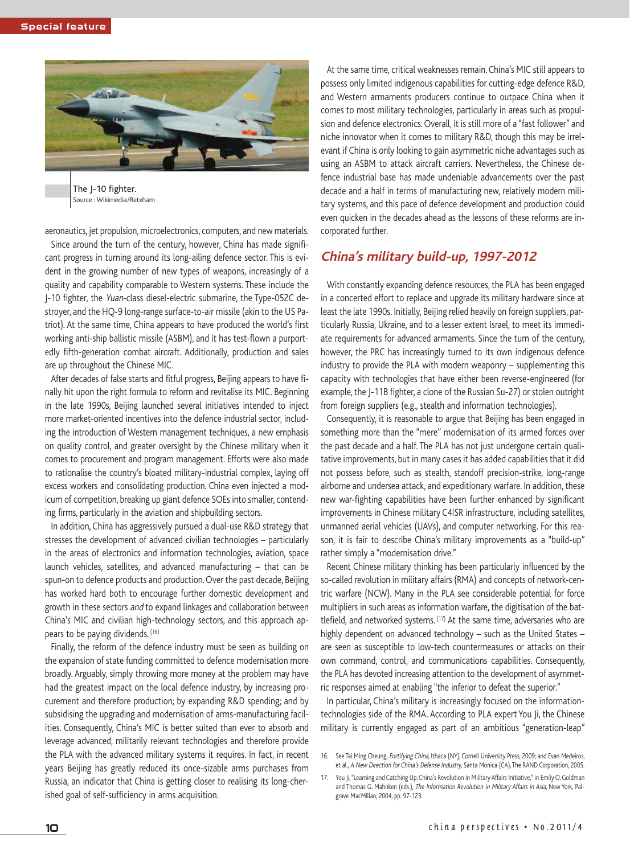

The J-10 fighter. Source :Wikimedia/Retxham

aeronautics, jet propulsion, microelectronics, computers, and new materials.

Since around the turn of the century, however, China has made significant progress in turning around its long-ailing defence sector. This is evident in the growing number of new types of weapons, increasingly of a quality and capability comparable to Western systems. These include the J-10 fighter, the Yuan-class diesel-electric submarine, the Type-052C destroyer, and the HQ-9 long-range surface-to-air missile (akin to the US Patriot). At the same time, China appears to have produced the world's first working anti-ship ballistic missile (ASBM), and it has test-flown a purportedly fifth-generation combat aircraft. Additionally, production and sales are up throughout the Chinese MIC.

After decades of false starts and fitful progress, Beijing appears to have finally hit upon the right formula to reform and revitalise its MIC. Beginning in the late 1990s, Beijing launched several initiatives intended to inject more market-oriented incentives into the defence industrial sector, including the introduction of Western management techniques, a new emphasis on quality control, and greater oversight by the Chinese military when it comes to procurement and program management. Efforts were also made to rationalise the country's bloated military-industrial complex, laying off excess workers and consolidating production. China even injected a modicum of competition, breaking up giant defence SOEs into smaller, contending firms, particularly in the aviation and shipbuilding sectors.

In addition, China has aggressively pursued a dual-use R&D strategy that stresses the development of advanced civilian technologies – particularly in the areas of electronics and information technologies, aviation, space launch vehicles, satellites, and advanced manufacturing – that can be spun-on to defence products and production.Over the past decade, Beijing has worked hard both to encourage further domestic development and growth in these sectors and to expand linkages and collaboration between China's MIC and civilian high-technology sectors, and this approach appears to be paying dividends. (16)

Finally, the reform of the defence industry must be seen as building on the expansion of state funding committed to defence modernisation more broadly. Arguably, simply throwing more money at the problem may have had the greatest impact on the local defence industry, by increasing procurement and therefore production; by expanding R&D spending; and by subsidising the upgrading and modernisation of arms-manufacturing facilities. Consequently, China's MIC is better suited than ever to absorb and leverage advanced, militarily relevant technologies and therefore provide the PLA with the advanced military systems it requires. In fact, in recent years Beijing has greatly reduced its once-sizable arms purchases from Russia, an indicator that China is getting closer to realising its long-cherished goal of self-sufficiency in arms acquisition.

At the same time, critical weaknesses remain. China's MIC still appears to possess only limited indigenous capabilities for cutting-edge defence R&D, and Western armaments producers continue to outpace China when it comes to most military technologies, particularly in areas such as propulsion and defence electronics. Overall, it is still more of a "fast follower" and niche innovator when it comes to military R&D, though this may be irrelevant if China is only looking to gain asymmetric niche advantages such as using an ASBM to attack aircraft carriers. Nevertheless, the Chinese defence industrial base has made undeniable advancements over the past decade and a half in terms of manufacturing new, relatively modern military systems, and this pace of defence development and production could even quicken in the decades ahead as the lessons of these reforms are incorporated further.

#### **China's military build-up, 1997-2012**

With constantly expanding defence resources, the PLA has been engaged in a concerted effort to replace and upgrade its military hardware since at least the late 1990s. Initially, Beijing relied heavily on foreign suppliers, particularly Russia, Ukraine, and to a lesser extent Israel, to meet its immediate requirements for advanced armaments. Since the turn of the century, however, the PRC has increasingly turned to its own indigenous defence industry to provide the PLA with modern weaponry – supplementing this capacity with technologies that have either been reverse-engineered (for example, the J-11B fighter, a clone of the Russian Su-27) or stolen outright from foreign suppliers (e.g., stealth and information technologies).

Consequently, it is reasonable to argue that Beijing has been engaged in something more than the "mere" modernisation of its armed forces over the past decade and a half. The PLA has not just undergone certain qualitative improvements, but in many cases it has added capabilities that it did not possess before, such as stealth, standoff precision-strike, long-range airborne and undersea attack, and expeditionary warfare. In addition, these new war-fighting capabilities have been further enhanced by significant improvements in Chinese military C4ISR infrastructure, including satellites, unmanned aerial vehicles (UAVs), and computer networking. For this reason, it is fair to describe China's military improvements as a "build-up" rather simply a "modernisation drive."

Recent Chinese military thinking has been particularly influenced by the so-called revolution in military affairs (RMA) and concepts of network-centric warfare (NCW). Many in the PLA see considerable potential for force multipliers in such areas as information warfare, the digitisation of the battlefield, and networked systems. <sup>(17)</sup> At the same time, adversaries who are highly dependent on advanced technology – such as the United States – are seen as susceptible to low-tech countermeasures or attacks on their own command, control, and communications capabilities. Consequently, the PLA has devoted increasing attention to the development of asymmetric responses aimed at enabling "the inferior to defeat the superior."

In particular, China's military is increasingly focused on the informationtechnologies side of the RMA. According to PLA expert You Ji, the Chinese military is currently engaged as part of an ambitious "generation-leap"

<sup>16.</sup> See Tai Ming Cheung, Fortifying China, Ithaca (NY), Cornell University Press, 2009; and Evan Medeiros, et al., <sup>A</sup> New Direction for China's Defense Industry, Santa Monica (CA), The RAND Corporation, 2005.

<sup>17.</sup> You Ji,"Learning and Catching Up: China's Revolution in Military Affairs Initiative,"in Emily O.Goldman and Thomas G. Mahnken (eds.), The Information Revolution in Military Affairs in Asia, New York, Palgrave MacMillan, 2004, pp. 97-123.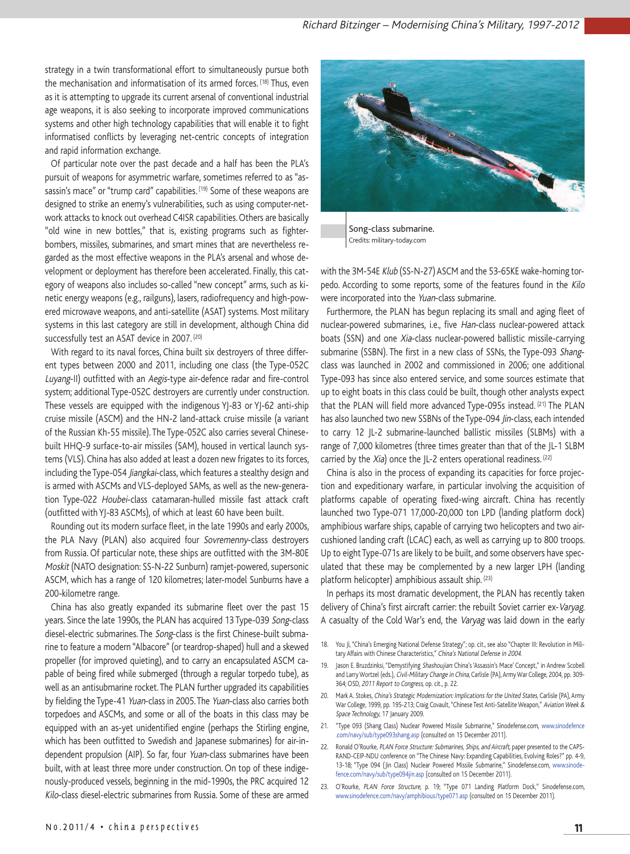strategy in a twin transformational effort to simultaneously pursue both the mechanisation and informatisation of its armed forces. (18) Thus, even as it is attempting to upgrade its current arsenal of conventional industrial age weapons, it is also seeking to incorporate improved communications systems and other high technology capabilities that will enable it to fight informatised conflicts by leveraging net-centric concepts of integration and rapid information exchange.

Of particular note over the past decade and a half has been the PLA's pursuit of weapons for asymmetric warfare, sometimes referred to as "assassin's mace" or "trump card" capabilities. (19) Some of these weapons are designed to strike an enemy's vulnerabilities, such as using computer-network attacks to knock out overhead C4ISR capabilities. Others are basically "old wine in new bottles," that is, existing programs such as fighterbombers, missiles, submarines, and smart mines that are nevertheless regarded as the most effective weapons in the PLA's arsenal and whose development or deployment has therefore been accelerated. Finally, this category of weapons also includes so-called "new concept" arms, such as kinetic energy weapons (e.g., railguns), lasers, radiofrequency and high-powered microwave weapons, and anti-satellite (ASAT) systems. Most military systems in this last category are still in development, although China did successfully test an ASAT device in 2007. (20)

With regard to its naval forces, China built six destroyers of three different types between 2000 and 2011, including one class (the Type-052C Luyang-II) outfitted with an Aegis-type air-defence radar and fire-control system; additional Type-052C destroyers are currently under construction. These vessels are equipped with the indigenous YJ-83 or YJ-62 anti-ship cruise missile (ASCM) and the HN-2 land-attack cruise missile (a variant of the Russian Kh-55 missile). The Type-052C also carries several Chinesebuilt HHQ-9 surface-to-air missiles (SAM), housed in vertical launch systems (VLS). China has also added at least a dozen new frigates to its forces, including the Type-054 Jiangkai-class, which features a stealthy design and is armed with ASCMs and VLS-deployed SAMs, as well as the new-generation Type-022 Houbei-class catamaran-hulled missile fast attack craft (outfitted with YJ-83 ASCMs), of which at least 60 have been built.

Rounding out its modern surface fleet, in the late 1990s and early 2000s, the PLA Navy (PLAN) also acquired four Sovremenny-class destroyers from Russia. Of particular note, these ships are outfitted with the 3M-80E Moskit (NATO designation: SS-N-22 Sunburn) ramjet-powered, supersonic ASCM, which has a range of 120 kilometres; later-model Sunburns have a 200-kilometre range.

China has also greatly expanded its submarine fleet over the past 15 years. Since the late 1990s, the PLAN has acquired 13 Type-039 Song-class diesel-electric submarines. The Song-class is the first Chinese-built submarine to feature a modern "Albacore"(or teardrop-shaped) hull and a skewed propeller (for improved quieting), and to carry an encapsulated ASCM capable of being fired while submerged (through a regular torpedo tube), as well as an antisubmarine rocket.The PLAN further upgraded its capabilities by fielding the Type-41 Yuan-class in 2005.The Yuan-class also carries both torpedoes and ASCMs, and some or all of the boats in this class may be equipped with an as-yet unidentified engine (perhaps the Stirling engine, which has been outfitted to Swedish and Japanese submarines) for air-independent propulsion (AIP). So far, four Yuan-class submarines have been built, with at least three more under construction. On top of these indigenously-produced vessels, beginning in the mid-1990s, the PRC acquired 12 Kilo-class diesel-electric submarines from Russia. Some of these are armed



Song-class submarine. Credits: military-today.com

with the 3M-54E Klub (SS-N-27) ASCM and the 53-65KE wake-homing torpedo. According to some reports, some of the features found in the Kilo were incorporated into the Yuan-class submarine.

Furthermore, the PLAN has begun replacing its small and aging fleet of nuclear-powered submarines, i.e., five Han-class nuclear-powered attack boats (SSN) and one Xia-class nuclear-powered ballistic missile-carrying submarine (SSBN). The first in a new class of SSNs, the Type-093 Shangclass was launched in 2002 and commissioned in 2006; one additional Type-093 has since also entered service, and some sources estimate that up to eight boats in this class could be built, though other analysts expect that the PLAN will field more advanced Type-095s instead. (21) The PLAN has also launched two new SSBNs of the Type-094 Jin-class, each intended to carry 12 JL-2 submarine-launched ballistic missiles (SLBMs) with a range of 7,000 kilometres (three times greater than that of the JL-1 SLBM carried by the  $Xia$ ) once the JL-2 enters operational readiness.  $(22)$ 

China is also in the process of expanding its capacities for force projection and expeditionary warfare, in particular involving the acquisition of platforms capable of operating fixed-wing aircraft. China has recently launched two Type-071 17,000-20,000 ton LPD (landing platform dock) amphibious warfare ships, capable of carrying two helicopters and two aircushioned landing craft (LCAC) each, as well as carrying up to 800 troops. Up to eight Type-071s are likely to be built, and some observers have speculated that these may be complemented by a new larger LPH (landing platform helicopter) amphibious assault ship. (23)

In perhaps its most dramatic development, the PLAN has recently taken delivery of China's first aircraft carrier: the rebuilt Soviet carrier ex-Varyag. A casualty of the Cold War's end, the Varyag was laid down in the early

- 18. You Ji,"China's Emerging National Defense Strategy"; op. cit., see also "Chapter III: Revolution in Military Affairs with Chinese Characteristics," China's National Defense in 2004.
- 19. Jason E. Bruzdzinksi,"Demystifying Shashoujian: China's 'Assassin's Mace' Concept," in Andrew Scobell and Larry Wortzel (eds.), Civil-Military Change in China, Carlisle (PA), Army War College, 2004, pp. 309- 364; OSD, 2011 Report to Congress, op. cit., p. 22.
- 20. Mark A. Stokes, China's Strategic Modernization: Implications for the United States, Carlisle (PA), Army War College, 1999, pp. 195-213; Craig Covault,"Chinese Test Anti-Satellite Weapon," Aviation Week & Space Technology, 17 January 2009.
- 21. "Type 093 (Shang Class) Nuclear Powered Missile Submarine," Sinodefense.com, www.sinodefence .com/navy/sub/type093shang.asp (consulted on 15 December 2011).
- 22. Ronald O'Rourke, PLAN Force Structure: Submarines, Ships, and Aircraft, paper presented to the CAPS-RAND-CEIP-NDU conference on "The Chinese Navy: Expanding Capabilities, Evolving Roles?" pp. 4-9, 13-18; "Type 094 (Jin Class) Nuclear Powered Missile Submarine," Sinodefense.com, www.sinodefence.com/navy/sub/type094jin.asp (consulted on 15 December 2011).
- 23. O'Rourke, PLAN Force Structure, p. 19; "Type 071 Landing Platform Dock," Sinodefense.com, www.sinodefence.com/navy/amphibious/type071.asp (consulted on 15 December 2011).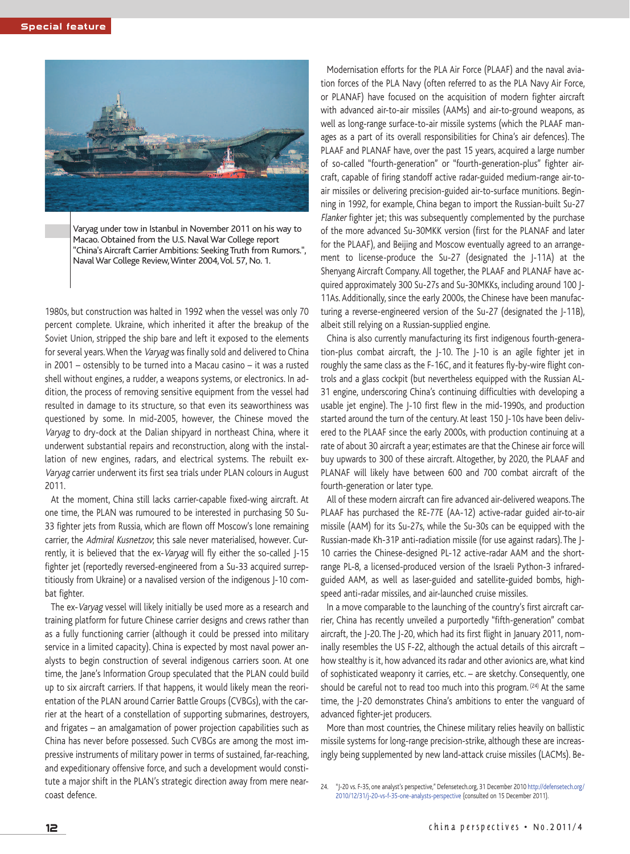

Varyag under tow in Istanbul in November 2011 on his way to Macao. Obtained from the U.S. Naval War College report "China's Aircraft Carrier Ambitions: Seeking Truth from Rumors.", Naval War College Review, Winter 2004, Vol. 57, No. 1.

1980s, but construction was halted in 1992 when the vessel was only 70 percent complete. Ukraine, which inherited it after the breakup of the Soviet Union, stripped the ship bare and left it exposed to the elements for several years.When the Varyag was finally sold and delivered to China in 2001 – ostensibly to be turned into a Macau casino – it was a rusted shell without engines, a rudder, a weapons systems, or electronics. In addition, the process of removing sensitive equipment from the vessel had resulted in damage to its structure, so that even its seaworthiness was questioned by some. In mid-2005, however, the Chinese moved the Varyag to dry-dock at the Dalian shipyard in northeast China, where it underwent substantial repairs and reconstruction, along with the installation of new engines, radars, and electrical systems. The rebuilt ex-Varyag carrier underwent its first sea trials under PLAN colours in August 2011.

At the moment, China still lacks carrier-capable fixed-wing aircraft. At one time, the PLAN was rumoured to be interested in purchasing 50 Su-33 fighter jets from Russia, which are flown off Moscow's lone remaining carrier, the Admiral Kusnetzov; this sale never materialised, however. Currently, it is believed that the ex-Varyag will fly either the so-called J-15 fighter jet (reportedly reversed-engineered from a Su-33 acquired surreptitiously from Ukraine) or a navalised version of the indigenous J-10 combat fighter.

The ex-Varyag vessel will likely initially be used more as a research and training platform for future Chinese carrier designs and crews rather than as a fully functioning carrier (although it could be pressed into military service in a limited capacity). China is expected by most naval power analysts to begin construction of several indigenous carriers soon. At one time, the Jane's Information Group speculated that the PLAN could build up to six aircraft carriers. If that happens, it would likely mean the reorientation of the PLAN around Carrier Battle Groups (CVBGs), with the carrier at the heart of a constellation of supporting submarines, destroyers, and frigates – an amalgamation of power projection capabilities such as China has never before possessed. Such CVBGs are among the most impressive instruments of military power in terms of sustained, far-reaching, and expeditionary offensive force, and such a development would constitute a major shift in the PLAN's strategic direction away from mere nearcoast defence.

Modernisation efforts for the PLA Air Force (PLAAF) and the naval aviation forces of the PLA Navy (often referred to as the PLA Navy Air Force, or PLANAF) have focused on the acquisition of modern fighter aircraft with advanced air-to-air missiles (AAMs) and air-to-ground weapons, as well as long-range surface-to-air missile systems (which the PLAAF manages as a part of its overall responsibilities for China's air defences). The PLAAF and PLANAF have, over the past 15 years, acquired a large number of so-called "fourth-generation" or "fourth-generation-plus" fighter aircraft, capable of firing standoff active radar-guided medium-range air-toair missiles or delivering precision-guided air-to-surface munitions. Beginning in 1992, for example, China began to import the Russian-built Su-27 Flanker fighter jet; this was subsequently complemented by the purchase of the more advanced Su-30MKK version (first for the PLANAF and later for the PLAAF), and Beijing and Moscow eventually agreed to an arrangement to license-produce the Su-27 (designated the J-11A) at the Shenyang Aircraft Company. All together, the PLAAF and PLANAF have acquired approximately 300 Su-27s and Su-30MKKs, including around 100 J-11As. Additionally, since the early 2000s, the Chinese have been manufacturing a reverse-engineered version of the Su-27 (designated the J-11B), albeit still relying on a Russian-supplied engine.

China is also currently manufacturing its first indigenous fourth-generation-plus combat aircraft, the J-10. The J-10 is an agile fighter jet in roughly the same class as the F-16C, and it features fly-by-wire flight controls and a glass cockpit (but nevertheless equipped with the Russian AL-31 engine, underscoring China's continuing difficulties with developing a usable jet engine). The J-10 first flew in the mid-1990s, and production started around the turn of the century. At least 150 J-10s have been delivered to the PLAAF since the early 2000s, with production continuing at a rate of about 30 aircraft a year; estimates are that the Chinese air force will buy upwards to 300 of these aircraft. Altogether, by 2020, the PLAAF and PLANAF will likely have between 600 and 700 combat aircraft of the fourth-generation or later type.

All of these modern aircraft can fire advanced air-delivered weapons.The PLAAF has purchased the RE-77E (AA-12) active-radar guided air-to-air missile (AAM) for its Su-27s, while the Su-30s can be equipped with the Russian-made Kh-31P anti-radiation missile (for use against radars). The J-10 carries the Chinese-designed PL-12 active-radar AAM and the shortrange PL-8, a licensed-produced version of the Israeli Python-3 infraredguided AAM, as well as laser-guided and satellite-guided bombs, highspeed anti-radar missiles, and air-launched cruise missiles.

In a move comparable to the launching of the country's first aircraft carrier, China has recently unveiled a purportedly "fifth-generation" combat aircraft, the J-20. The J-20, which had its first flight in January 2011, nominally resembles the US F-22, although the actual details of this aircraft – how stealthy is it, how advanced its radar and other avionics are, what kind of sophisticated weaponry it carries, etc. – are sketchy. Consequently, one should be careful not to read too much into this program. <sup>(24)</sup> At the same time, the J-20 demonstrates China's ambitions to enter the vanguard of advanced fighter-jet producers.

More than most countries, the Chinese military relies heavily on ballistic missile systems for long-range precision-strike, although these are increasingly being supplemented by new land-attack cruise missiles (LACMs). Be-

<sup>24.</sup> "J-20 vs. F-35, one analyst's perspective," Defensetech.org, 31 December 2010 http://defensetech.org/ 2010/12/31/j-20-vs-f-35-one-analysts-perspective (consulted on 15 December 2011).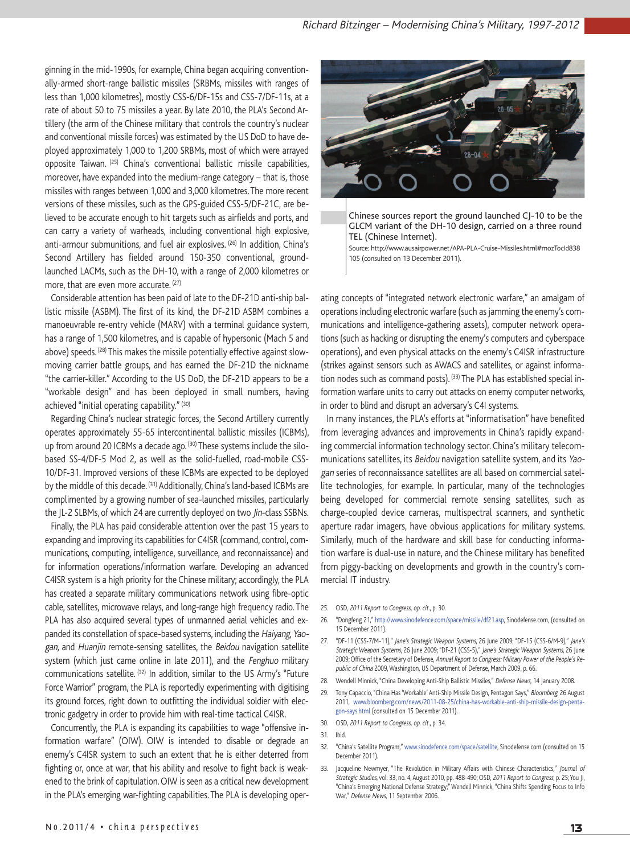ginning in the mid-1990s, for example, China began acquiring conventionally-armed short-range ballistic missiles (SRBMs, missiles with ranges of less than 1,000 kilometres), mostly CSS-6/DF-15s and CSS-7/DF-11s, at a rate of about 50 to 75 missiles a year. By late 2010, the PLA's Second Artillery (the arm of the Chinese military that controls the country's nuclear and conventional missile forces) was estimated by the US DoD to have deployed approximately 1,000 to 1,200 SRBMs, most of which were arrayed opposite Taiwan. (25) China's conventional ballistic missile capabilities, moreover, have expanded into the medium-range category – that is, those missiles with ranges between 1,000 and 3,000 kilometres.The more recent versions of these missiles, such as the GPS-guided CSS-5/DF-21C, are believed to be accurate enough to hit targets such as airfields and ports, and can carry a variety of warheads, including conventional high explosive, anti-armour submunitions, and fuel air explosives. <sup>(26)</sup> In addition, China's Second Artillery has fielded around 150-350 conventional, groundlaunched LACMs, such as the DH-10, with a range of 2,000 kilometres or more, that are even more accurate. (27)

Considerable attention has been paid of late to the DF-21D anti-ship ballistic missile (ASBM). The first of its kind, the DF-21D ASBM combines a manoeuvrable re-entry vehicle (MARV) with a terminal guidance system, has a range of 1,500 kilometres, and is capable of hypersonic (Mach 5 and above) speeds. <sup>(28)</sup> This makes the missile potentially effective against slowmoving carrier battle groups, and has earned the DF-21D the nickname "the carrier-killer." According to the US DoD, the DF-21D appears to be a "workable design" and has been deployed in small numbers, having achieved "initial operating capability." (30)

Regarding China's nuclear strategic forces, the Second Artillery currently operates approximately 55-65 intercontinental ballistic missiles (ICBMs), up from around 20 ICBMs a decade ago.<sup>(30)</sup> These systems include the silobased SS-4/DF-5 Mod 2, as well as the solid-fuelled, road-mobile CSS-10/DF-31. Improved versions of these ICBMs are expected to be deployed by the middle of this decade. (31) Additionally, China's land-based ICBMs are complimented by a growing number of sea-launched missiles, particularly the JL-2 SLBMs, of which 24 are currently deployed on two Jin-class SSBNs.

Finally, the PLA has paid considerable attention over the past 15 years to expanding and improving its capabilities for C4ISR (command, control, communications, computing, intelligence, surveillance, and reconnaissance) and for information operations/information warfare. Developing an advanced C4ISR system is a high priority for the Chinese military; accordingly, the PLA has created a separate military communications network using fibre-optic cable, satellites, microwave relays, and long-range high frequency radio. The PLA has also acquired several types of unmanned aerial vehicles and expanded its constellation of space-based systems, including the Haiyang, Yaogan, and Huanjin remote-sensing satellites, the Beidou navigation satellite system (which just came online in late 2011), and the Fenghuo military communications satellite. (32) In addition, similar to the US Army's "Future Force Warrior" program, the PLA is reportedly experimenting with digitising its ground forces, right down to outfitting the individual soldier with electronic gadgetry in order to provide him with real-time tactical C4ISR.

Concurrently, the PLA is expanding its capabilities to wage "offensive information warfare" (OIW). OIW is intended to disable or degrade an enemy's C4ISR system to such an extent that he is either deterred from fighting or, once at war, that his ability and resolve to fight back is weakened to the brink of capitulation.OIW is seen as a critical new development in the PLA's emerging war-fighting capabilities. The PLA is developing oper-



Chinese sources report the ground launched CJ-10 to be the GLCM variant of the DH-10 design, carried on a three round TEL (Chinese Internet).

Source: http://www.ausairpower.net/APA-PLA-Cruise-Missiles.html#mozTocId838 105 (consulted on 13 December 2011).

ating concepts of "integrated network electronic warfare," an amalgam of operations including electronic warfare (such as jamming the enemy's communications and intelligence-gathering assets), computer network operations (such as hacking or disrupting the enemy's computers and cyberspace operations), and even physical attacks on the enemy's C4ISR infrastructure (strikes against sensors such as AWACS and satellites, or against information nodes such as command posts). <sup>(33)</sup> The PLA has established special information warfare units to carry out attacks on enemy computer networks, in order to blind and disrupt an adversary's C4I systems.

In many instances, the PLA's efforts at "informatisation" have benefited from leveraging advances and improvements in China's rapidly expanding commercial information technology sector. China's military telecommunications satellites, its Beidou navigation satellite system, and its Yaogan series of reconnaissance satellites are all based on commercial satellite technologies, for example. In particular, many of the technologies being developed for commercial remote sensing satellites, such as charge-coupled device cameras, multispectral scanners, and synthetic aperture radar imagers, have obvious applications for military systems. Similarly, much of the hardware and skill base for conducting information warfare is dual-use in nature, and the Chinese military has benefited from piggy-backing on developments and growth in the country's commercial IT industry.

- 25. OSD, 2011 Report to Congress, op. cit., p. 30.
- 26. "Dongfeng 21," http://www.sinodefence.com/space/missile/df21.asp, Sinodefense.com, (consulted on 15 December 2011).
- 27. "DF-11 (CSS-7/M-11)," Jane's Strategic Weapon Systems, 26 June 2009;"DF-15 (CSS-6/M-9)," Jane's Strategic Weapon Systems, 26 June 2009;"DF-21 (CSS-5)," Jane's Strategic Weapon Systems, 26 June 2009; Office of the Secretary of Defense, Annual Report to Congress: Military Power of the People's Republic of China 2009, Washington, US Department of Defense, March 2009, p. 66.
- 28. Wendell Minnick, "China Developing Anti-Ship Ballistic Missiles," Defense News, 14 January 2008.
- 29. Tony Capaccio,"China Has'Workable' Anti-Ship Missile Design, Pentagon Says," Bloomberg, 26 August 2011, www.bloomberg.com/news/2011-08-25/china-has-workable-anti-ship-missile-design-pentagon-says.html (consulted on 15 December 2011).
- 30. OSD, 2011 Report to Congress, op. cit., p. 34.

- 32. "China's Satellite Program," www.sinodefence.com/space/satellite, Sinodefense.com (consulted on 15 December 2011)
- 33. Jacqueline Newmyer, "The Revolution in Military Affairs with Chinese Characteristics," Journal of Strategic Studies, vol. 33, no. 4, August 2010, pp. 488-490; OSD, 2011 Report to Congress, p. 25;You Ji, "China's Emerging National Defense Strategy;"Wendell Minnick,"China Shifts Spending Focus to Info War," Defense News, 11 September 2006.

<sup>31.</sup> Ibid.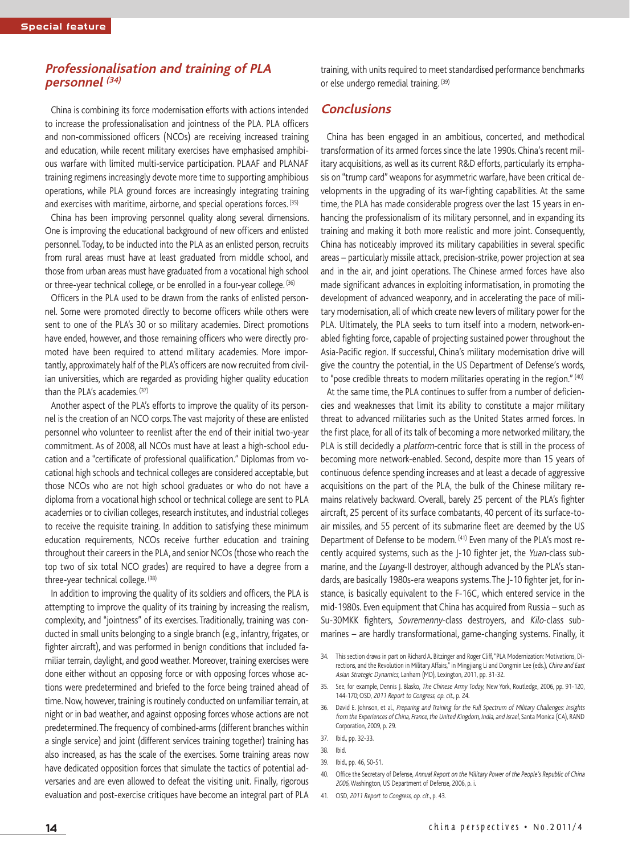#### **Professionalisation and training of PLA personnel (34)**

China is combining its force modernisation efforts with actions intended to increase the professionalisation and jointness of the PLA. PLA officers and non-commissioned officers (NCOs) are receiving increased training and education, while recent military exercises have emphasised amphibious warfare with limited multi-service participation. PLAAF and PLANAF training regimens increasingly devote more time to supporting amphibious operations, while PLA ground forces are increasingly integrating training and exercises with maritime, airborne, and special operations forces. (35)

China has been improving personnel quality along several dimensions. One is improving the educational background of new officers and enlisted personnel.Today, to be inducted into the PLA as an enlisted person, recruits from rural areas must have at least graduated from middle school, and those from urban areas must have graduated from a vocational high school or three-year technical college, or be enrolled in a four-year college. (36)

Officers in the PLA used to be drawn from the ranks of enlisted personnel. Some were promoted directly to become officers while others were sent to one of the PLA's 30 or so military academies. Direct promotions have ended, however, and those remaining officers who were directly promoted have been required to attend military academies. More importantly, approximately half of the PLA's officers are now recruited from civilian universities, which are regarded as providing higher quality education than the PLA's academies. (37)

Another aspect of the PLA's efforts to improve the quality of its personnel is the creation of an NCO corps.The vast majority of these are enlisted personnel who volunteer to reenlist after the end of their initial two-year commitment. As of 2008, all NCOs must have at least a high-school education and a "certificate of professional qualification." Diplomas from vocational high schools and technical colleges are considered acceptable, but those NCOs who are not high school graduates or who do not have a diploma from a vocational high school or technical college are sent to PLA academies or to civilian colleges, research institutes, and industrial colleges to receive the requisite training. In addition to satisfying these minimum education requirements, NCOs receive further education and training throughout their careers in the PLA, and senior NCOs (those who reach the top two of six total NCO grades) are required to have a degree from a three-year technical college. (38)

In addition to improving the quality of its soldiers and officers, the PLA is attempting to improve the quality of its training by increasing the realism, complexity, and "jointness" of its exercises. Traditionally, training was conducted in small units belonging to a single branch (e.g., infantry, frigates, or fighter aircraft), and was performed in benign conditions that included familiar terrain, daylight, and good weather. Moreover, training exercises were done either without an opposing force or with opposing forces whose actions were predetermined and briefed to the force being trained ahead of time. Now, however, training is routinely conducted on unfamiliar terrain, at night or in bad weather, and against opposing forces whose actions are not predetermined.The frequency of combined-arms (different branches within a single service) and joint (different services training together) training has also increased, as has the scale of the exercises. Some training areas now have dedicated opposition forces that simulate the tactics of potential adversaries and are even allowed to defeat the visiting unit. Finally, rigorous evaluation and post-exercise critiques have become an integral part of PLA

training, with units required to meet standardised performance benchmarks or else undergo remedial training. (39)

## **Conclusions**

China has been engaged in an ambitious, concerted, and methodical transformation of its armed forces since the late 1990s. China's recent military acquisitions, as well as its current R&D efforts, particularly its emphasis on "trump card" weapons for asymmetric warfare, have been critical developments in the upgrading of its war-fighting capabilities. At the same time, the PLA has made considerable progress over the last 15 years in enhancing the professionalism of its military personnel, and in expanding its training and making it both more realistic and more joint. Consequently, China has noticeably improved its military capabilities in several specific areas – particularly missile attack, precision-strike, power projection at sea and in the air, and joint operations. The Chinese armed forces have also made significant advances in exploiting informatisation, in promoting the development of advanced weaponry, and in accelerating the pace of military modernisation, all of which create new levers of military power for the PLA. Ultimately, the PLA seeks to turn itself into a modern, network-enabled fighting force, capable of projecting sustained power throughout the Asia-Pacific region. If successful, China's military modernisation drive will give the country the potential, in the US Department of Defense's words, to "pose credible threats to modern militaries operating in the region."(40)

At the same time, the PLA continues to suffer from a number of deficiencies and weaknesses that limit its ability to constitute a major military threat to advanced militaries such as the United States armed forces. In the first place, for all of its talk of becoming a more networked military, the PLA is still decidedly a *platform*-centric force that is still in the process of becoming more network-enabled. Second, despite more than 15 years of continuous defence spending increases and at least a decade of aggressive acquisitions on the part of the PLA, the bulk of the Chinese military remains relatively backward. Overall, barely 25 percent of the PLA's fighter aircraft, 25 percent of its surface combatants, 40 percent of its surface-toair missiles, and 55 percent of its submarine fleet are deemed by the US Department of Defense to be modern. (41) Even many of the PLA's most recently acquired systems, such as the J-10 fighter jet, the Yuan-class submarine, and the Luyang-II destroyer, although advanced by the PLA's standards, are basically 1980s-era weapons systems.The J-10 fighter jet, for instance, is basically equivalent to the F-16C, which entered service in the mid-1980s. Even equipment that China has acquired from Russia – such as Su-30MKK fighters, Sovremenny-class destroyers, and Kilo-class submarines – are hardly transformational, game-changing systems. Finally, it

- 35. See, for example, Dennis J. Blasko, The Chinese Army Today, New York, Routledge, 2006, pp. 91-120, 144-170; OSD, 2011 Report to Congress, op. cit., p. 24.
- 36. David E. Johnson, et al., Preparing and Training for the Full Spectrum of Military Challenges: Insights from the Experiences of China, France, the United Kingdom, India, and Israel, Santa Monica (CA), RAND Corporation, 2009, p. 29.
- 37. Ibid., pp. 32-33.
- 38. Ibid.
- 39. Ibid., pp. 46, 50-51.
- 40. Office the Secretary of Defense, Annual Report on the Military Power of the People's Republic of China 2006, Washington, US Department of Defense, 2006, p. i.
- 41. OSD, 2011 Report to Congress, op. cit., p. 43.

<sup>34.</sup> This section draws in part on Richard A. Bitzinger and Roger Cliff,"PLA Modernization: Motivations, Directions, and the Revolution in Military Affairs," in Mingjiang Li and Dongmin Lee (eds.), China and East Asian Strategic Dynamics, Lanham (MD), Lexington, 2011, pp. 31-32.